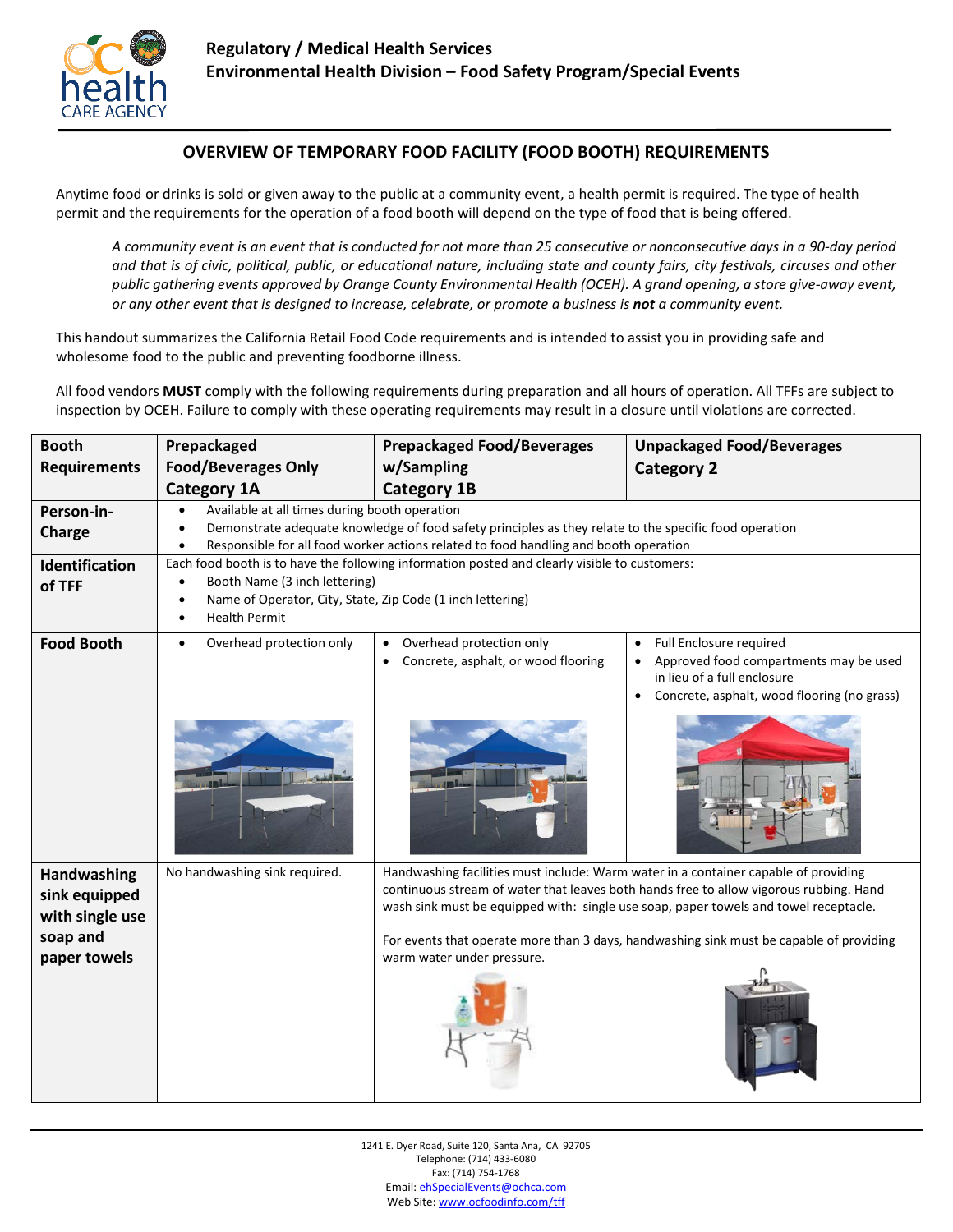

## **OVERVIEW OF TEMPORARY FOOD FACILITY (FOOD BOOTH) REQUIREMENTS**

Anytime food or drinks is sold or given away to the public at a community event, a health permit is required. The type of health permit and the requirements for the operation of a food booth will depend on the type of food that is being offered.

*A community event is an event that is conducted for not more than 25 consecutive or nonconsecutive days in a 90-day period and that is of civic, political, public, or educational nature, including state and county fairs, city festivals, circuses and other public gathering events approved by Orange County Environmental Health (OCEH). A grand opening, a store give-away event, or any other event that is designed to increase, celebrate, or promote a business is not a community event.* 

This handout summarizes the California Retail Food Code requirements and is intended to assist you in providing safe and wholesome food to the public and preventing foodborne illness.

All food vendors **MUST** comply with the following requirements during preparation and all hours of operation. All TFFs are subject to inspection by OCEH. Failure to comply with these operating requirements may result in a closure until violations are corrected.

| <b>Booth</b>                                                | Prepackaged                                                                                                                                                                           | <b>Prepackaged Food/Beverages</b>                                                                                                                                                                                                                                     | <b>Unpackaged Food/Beverages</b>                                                                                                                             |  |  |  |  |
|-------------------------------------------------------------|---------------------------------------------------------------------------------------------------------------------------------------------------------------------------------------|-----------------------------------------------------------------------------------------------------------------------------------------------------------------------------------------------------------------------------------------------------------------------|--------------------------------------------------------------------------------------------------------------------------------------------------------------|--|--|--|--|
| <b>Requirements</b>                                         | <b>Food/Beverages Only</b>                                                                                                                                                            | w/Sampling                                                                                                                                                                                                                                                            | <b>Category 2</b>                                                                                                                                            |  |  |  |  |
|                                                             | <b>Category 1A</b>                                                                                                                                                                    | <b>Category 1B</b>                                                                                                                                                                                                                                                    |                                                                                                                                                              |  |  |  |  |
| Person-in-                                                  | Available at all times during booth operation                                                                                                                                         |                                                                                                                                                                                                                                                                       |                                                                                                                                                              |  |  |  |  |
| Charge                                                      | Demonstrate adequate knowledge of food safety principles as they relate to the specific food operation                                                                                |                                                                                                                                                                                                                                                                       |                                                                                                                                                              |  |  |  |  |
| <b>Identification</b>                                       | Responsible for all food worker actions related to food handling and booth operation<br>Each food booth is to have the following information posted and clearly visible to customers: |                                                                                                                                                                                                                                                                       |                                                                                                                                                              |  |  |  |  |
| of TFF                                                      | Booth Name (3 inch lettering)                                                                                                                                                         |                                                                                                                                                                                                                                                                       |                                                                                                                                                              |  |  |  |  |
|                                                             | Name of Operator, City, State, Zip Code (1 inch lettering)<br>$\bullet$<br><b>Health Permit</b><br>$\bullet$                                                                          |                                                                                                                                                                                                                                                                       |                                                                                                                                                              |  |  |  |  |
| <b>Food Booth</b>                                           | Overhead protection only                                                                                                                                                              | Overhead protection only<br>Concrete, asphalt, or wood flooring                                                                                                                                                                                                       | Full Enclosure required<br>Approved food compartments may be used<br>in lieu of a full enclosure<br>Concrete, asphalt, wood flooring (no grass)<br>$\bullet$ |  |  |  |  |
|                                                             |                                                                                                                                                                                       |                                                                                                                                                                                                                                                                       |                                                                                                                                                              |  |  |  |  |
| Handwashing<br>sink equipped<br>with single use<br>soap and | No handwashing sink required.                                                                                                                                                         | Handwashing facilities must include: Warm water in a container capable of providing<br>continuous stream of water that leaves both hands free to allow vigorous rubbing. Hand<br>wash sink must be equipped with: single use soap, paper towels and towel receptacle. |                                                                                                                                                              |  |  |  |  |
| paper towels                                                |                                                                                                                                                                                       | warm water under pressure.                                                                                                                                                                                                                                            | For events that operate more than 3 days, handwashing sink must be capable of providing                                                                      |  |  |  |  |

1241 E. Dyer Road, Suite 120, Santa Ana, CA 92705 Telephone: (714) 433-6080 Fax: (714) 754-1768 Email[: ehSpecialEvents@ochca.com](mailto:ehSpecialEvents@ochca.com) Web Site[: www.ocfoodinfo.com/tff](http://www.ocfoodinfo.com/tff)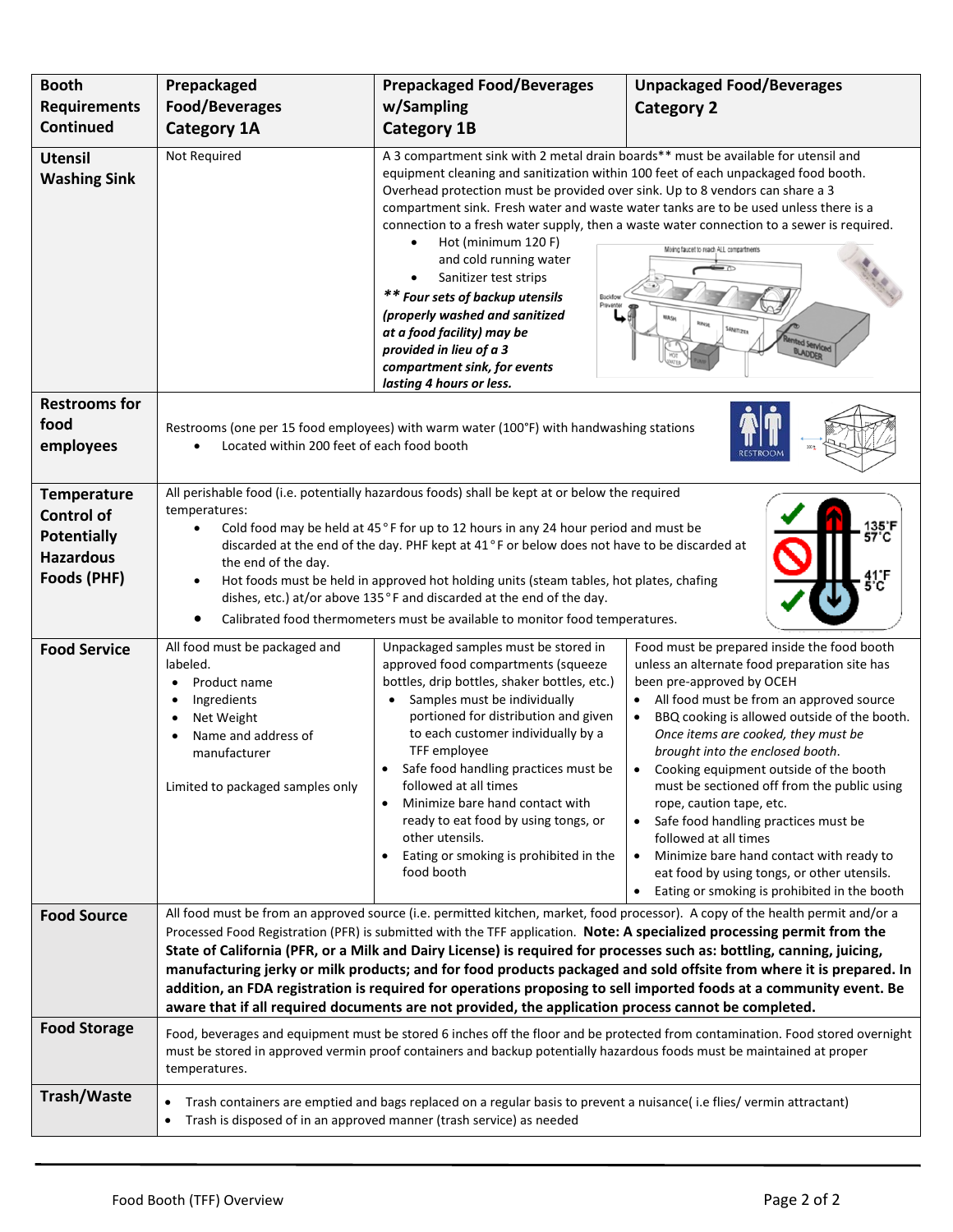| <b>Booth</b>                                                                                     | Prepackaged                                                                                                                                                                                                                                                                                                                                                                                                                                                                                                                                                                                                                                                                                                                             | <b>Prepackaged Food/Beverages</b>                                                                                                                                                                                                                                                                                                                                                                                                                                                                                                                     | <b>Unpackaged Food/Beverages</b>                                                                                                                                                                                                                                                                                                                                                                                                                                                                                                                                                                                                                            |  |  |  |
|--------------------------------------------------------------------------------------------------|-----------------------------------------------------------------------------------------------------------------------------------------------------------------------------------------------------------------------------------------------------------------------------------------------------------------------------------------------------------------------------------------------------------------------------------------------------------------------------------------------------------------------------------------------------------------------------------------------------------------------------------------------------------------------------------------------------------------------------------------|-------------------------------------------------------------------------------------------------------------------------------------------------------------------------------------------------------------------------------------------------------------------------------------------------------------------------------------------------------------------------------------------------------------------------------------------------------------------------------------------------------------------------------------------------------|-------------------------------------------------------------------------------------------------------------------------------------------------------------------------------------------------------------------------------------------------------------------------------------------------------------------------------------------------------------------------------------------------------------------------------------------------------------------------------------------------------------------------------------------------------------------------------------------------------------------------------------------------------------|--|--|--|
| <b>Requirements</b><br><b>Continued</b>                                                          | <b>Food/Beverages</b>                                                                                                                                                                                                                                                                                                                                                                                                                                                                                                                                                                                                                                                                                                                   | w/Sampling<br><b>Category 2</b>                                                                                                                                                                                                                                                                                                                                                                                                                                                                                                                       |                                                                                                                                                                                                                                                                                                                                                                                                                                                                                                                                                                                                                                                             |  |  |  |
|                                                                                                  | <b>Category 1A</b>                                                                                                                                                                                                                                                                                                                                                                                                                                                                                                                                                                                                                                                                                                                      | <b>Category 1B</b>                                                                                                                                                                                                                                                                                                                                                                                                                                                                                                                                    |                                                                                                                                                                                                                                                                                                                                                                                                                                                                                                                                                                                                                                                             |  |  |  |
| <b>Utensil</b><br><b>Washing Sink</b>                                                            | Not Required                                                                                                                                                                                                                                                                                                                                                                                                                                                                                                                                                                                                                                                                                                                            | A 3 compartment sink with 2 metal drain boards** must be available for utensil and<br>equipment cleaning and sanitization within 100 feet of each unpackaged food booth.<br>Overhead protection must be provided over sink. Up to 8 vendors can share a 3<br>Hot (minimum 120 F)<br>$\bullet$<br>and cold running water<br>Sanitizer test strips<br>** Four sets of backup utensils<br>ВаскПом<br>(properly washed and sanitized<br>at a food facility) may be<br>provided in lieu of a 3<br>compartment sink, for events<br>lasting 4 hours or less. | compartment sink. Fresh water and waste water tanks are to be used unless there is a<br>connection to a fresh water supply, then a waste water connection to a sewer is required.<br>Mixing faucet to reach ALL compartments<br>NASH                                                                                                                                                                                                                                                                                                                                                                                                                        |  |  |  |
| <b>Restrooms for</b><br>food<br>employees                                                        | Restrooms (one per 15 food employees) with warm water (100°F) with handwashing stations<br>Located within 200 feet of each food booth                                                                                                                                                                                                                                                                                                                                                                                                                                                                                                                                                                                                   |                                                                                                                                                                                                                                                                                                                                                                                                                                                                                                                                                       |                                                                                                                                                                                                                                                                                                                                                                                                                                                                                                                                                                                                                                                             |  |  |  |
| <b>Temperature</b><br><b>Control of</b><br><b>Potentially</b><br><b>Hazardous</b><br>Foods (PHF) | All perishable food (i.e. potentially hazardous foods) shall be kept at or below the required<br>temperatures:<br>Cold food may be held at 45°F for up to 12 hours in any 24 hour period and must be<br>$\bullet$<br>discarded at the end of the day. PHF kept at 41°F or below does not have to be discarded at<br>the end of the day.<br>Hot foods must be held in approved hot holding units (steam tables, hot plates, chafing<br>dishes, etc.) at/or above 135°F and discarded at the end of the day.<br>Calibrated food thermometers must be available to monitor food temperatures.                                                                                                                                              |                                                                                                                                                                                                                                                                                                                                                                                                                                                                                                                                                       |                                                                                                                                                                                                                                                                                                                                                                                                                                                                                                                                                                                                                                                             |  |  |  |
| <b>Food Service</b>                                                                              | All food must be packaged and<br>labeled.<br>Product name<br>Ingredients<br>Net Weight<br>Name and address of<br>manufacturer<br>Limited to packaged samples only                                                                                                                                                                                                                                                                                                                                                                                                                                                                                                                                                                       | Unpackaged samples must be stored in<br>approved food compartments (squeeze<br>bottles, drip bottles, shaker bottles, etc.)<br>Samples must be individually<br>$\bullet$<br>portioned for distribution and given<br>to each customer individually by a<br>TFF employee<br>Safe food handling practices must be<br>followed at all times<br>Minimize bare hand contact with<br>ready to eat food by using tongs, or<br>other utensils.<br>Eating or smoking is prohibited in the<br>food booth                                                         | Food must be prepared inside the food booth<br>unless an alternate food preparation site has<br>been pre-approved by OCEH<br>All food must be from an approved source<br>BBQ cooking is allowed outside of the booth.<br>Once items are cooked, they must be<br>brought into the enclosed booth.<br>Cooking equipment outside of the booth<br>must be sectioned off from the public using<br>rope, caution tape, etc.<br>Safe food handling practices must be<br>$\bullet$<br>followed at all times<br>Minimize bare hand contact with ready to<br>$\bullet$<br>eat food by using tongs, or other utensils.<br>Eating or smoking is prohibited in the booth |  |  |  |
| <b>Food Source</b>                                                                               | All food must be from an approved source (i.e. permitted kitchen, market, food processor). A copy of the health permit and/or a<br>Processed Food Registration (PFR) is submitted with the TFF application. Note: A specialized processing permit from the<br>State of California (PFR, or a Milk and Dairy License) is required for processes such as: bottling, canning, juicing,<br>manufacturing jerky or milk products; and for food products packaged and sold offsite from where it is prepared. In<br>addition, an FDA registration is required for operations proposing to sell imported foods at a community event. Be<br>aware that if all required documents are not provided, the application process cannot be completed. |                                                                                                                                                                                                                                                                                                                                                                                                                                                                                                                                                       |                                                                                                                                                                                                                                                                                                                                                                                                                                                                                                                                                                                                                                                             |  |  |  |
| <b>Food Storage</b>                                                                              | Food, beverages and equipment must be stored 6 inches off the floor and be protected from contamination. Food stored overnight<br>must be stored in approved vermin proof containers and backup potentially hazardous foods must be maintained at proper<br>temperatures.                                                                                                                                                                                                                                                                                                                                                                                                                                                               |                                                                                                                                                                                                                                                                                                                                                                                                                                                                                                                                                       |                                                                                                                                                                                                                                                                                                                                                                                                                                                                                                                                                                                                                                                             |  |  |  |
| <b>Trash/Waste</b>                                                                               | Trash containers are emptied and bags replaced on a regular basis to prevent a nuisance(i.e flies/vermin attractant)<br>$\bullet$<br>Trash is disposed of in an approved manner (trash service) as needed<br>$\bullet$                                                                                                                                                                                                                                                                                                                                                                                                                                                                                                                  |                                                                                                                                                                                                                                                                                                                                                                                                                                                                                                                                                       |                                                                                                                                                                                                                                                                                                                                                                                                                                                                                                                                                                                                                                                             |  |  |  |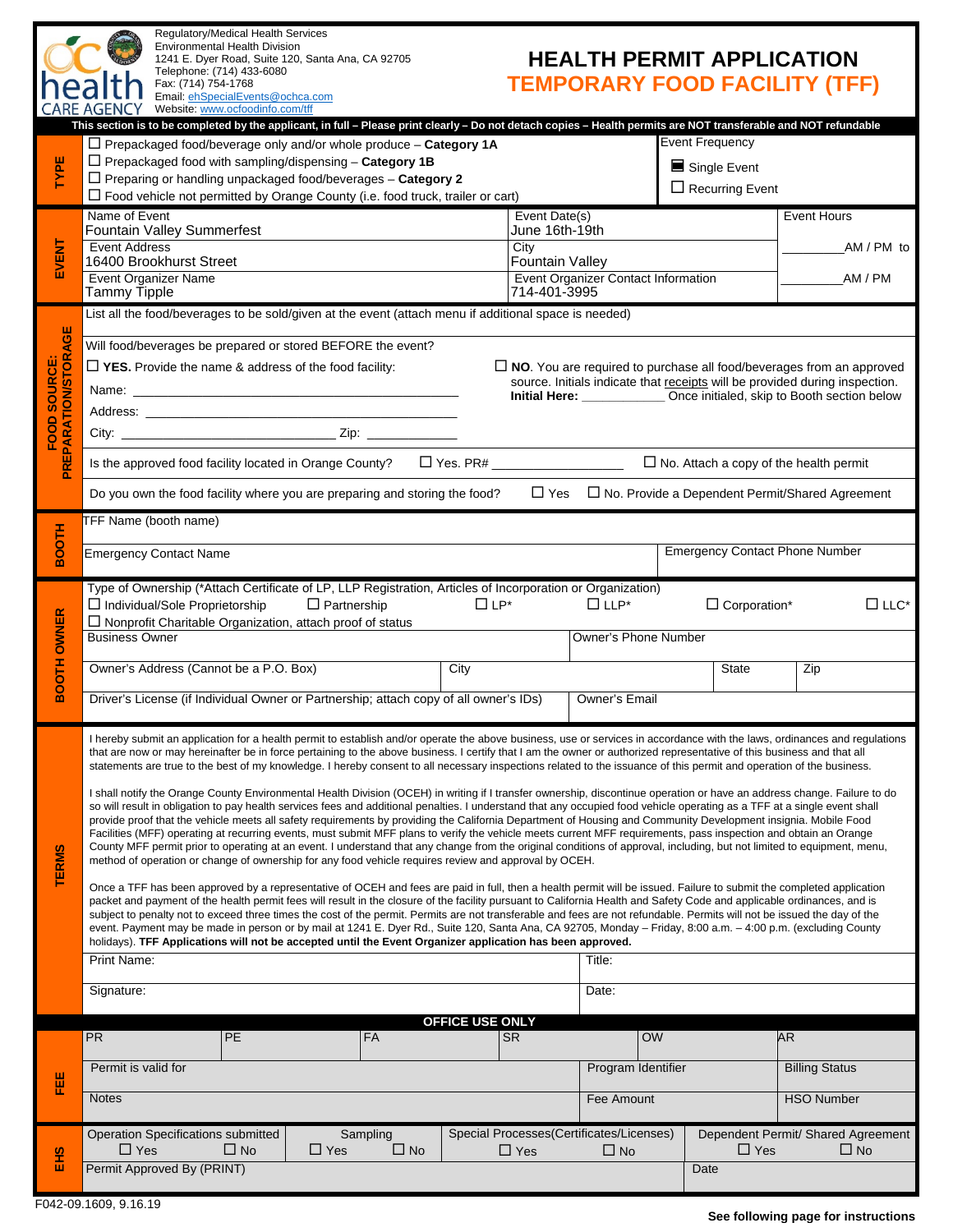| <b>HEALTH PERMIT APPLICATION</b>     |  |
|--------------------------------------|--|
| <b>TEMPORARY FOOD FACILITY (TFF)</b> |  |

|                                        | Fax: (714) 754-1768<br>neaith<br><b>CARE AGENCY</b>                                                                                                                                                                                                                                                                                                                                                                                                                                                                                                                                                                                                                                                                                                                                                                                                                                                                                                                                                                                                                                                                                                                                                                                                                                                                                                                                                                                                                                                                                                                                                                                                                                                                                                                                                                                                                                                                                                                                                                                                                                                                                                                                                                                                                                                                                                                          | Email: ehSpecialEvents@ochca.com<br>Website: www.ocfoodinfo.com/tff                                                                                              |                                |                                 |                                                                  |                                                       |                   |                                       | <b>IEMPORARY FOOD FACILITY (IFF)</b>            |  |
|----------------------------------------|------------------------------------------------------------------------------------------------------------------------------------------------------------------------------------------------------------------------------------------------------------------------------------------------------------------------------------------------------------------------------------------------------------------------------------------------------------------------------------------------------------------------------------------------------------------------------------------------------------------------------------------------------------------------------------------------------------------------------------------------------------------------------------------------------------------------------------------------------------------------------------------------------------------------------------------------------------------------------------------------------------------------------------------------------------------------------------------------------------------------------------------------------------------------------------------------------------------------------------------------------------------------------------------------------------------------------------------------------------------------------------------------------------------------------------------------------------------------------------------------------------------------------------------------------------------------------------------------------------------------------------------------------------------------------------------------------------------------------------------------------------------------------------------------------------------------------------------------------------------------------------------------------------------------------------------------------------------------------------------------------------------------------------------------------------------------------------------------------------------------------------------------------------------------------------------------------------------------------------------------------------------------------------------------------------------------------------------------------------------------------|------------------------------------------------------------------------------------------------------------------------------------------------------------------|--------------------------------|---------------------------------|------------------------------------------------------------------|-------------------------------------------------------|-------------------|---------------------------------------|-------------------------------------------------|--|
|                                        |                                                                                                                                                                                                                                                                                                                                                                                                                                                                                                                                                                                                                                                                                                                                                                                                                                                                                                                                                                                                                                                                                                                                                                                                                                                                                                                                                                                                                                                                                                                                                                                                                                                                                                                                                                                                                                                                                                                                                                                                                                                                                                                                                                                                                                                                                                                                                                              | This section is to be completed by the applicant, in full - Please print clearly - Do not detach copies - Health permits are NOT transferable and NOT refundable |                                |                                 |                                                                  |                                                       |                   |                                       |                                                 |  |
| TYPE                                   | $\Box$ Prepackaged food/beverage only and/or whole produce $-$ Category 1A<br>$\Box$ Prepackaged food with sampling/dispensing - Category 1B<br>$\Box$ Preparing or handling unpackaged food/beverages - Category 2<br>$\Box$ Food vehicle not permitted by Orange County (i.e. food truck, trailer or cart)                                                                                                                                                                                                                                                                                                                                                                                                                                                                                                                                                                                                                                                                                                                                                                                                                                                                                                                                                                                                                                                                                                                                                                                                                                                                                                                                                                                                                                                                                                                                                                                                                                                                                                                                                                                                                                                                                                                                                                                                                                                                 |                                                                                                                                                                  |                                |                                 | <b>Event Frequency</b><br>Single Event<br>$\Box$ Recurring Event |                                                       |                   |                                       |                                                 |  |
|                                        |                                                                                                                                                                                                                                                                                                                                                                                                                                                                                                                                                                                                                                                                                                                                                                                                                                                                                                                                                                                                                                                                                                                                                                                                                                                                                                                                                                                                                                                                                                                                                                                                                                                                                                                                                                                                                                                                                                                                                                                                                                                                                                                                                                                                                                                                                                                                                                              |                                                                                                                                                                  |                                |                                 |                                                                  |                                                       |                   |                                       |                                                 |  |
|                                        | Name of Event<br>Fountain Valley Summerfest                                                                                                                                                                                                                                                                                                                                                                                                                                                                                                                                                                                                                                                                                                                                                                                                                                                                                                                                                                                                                                                                                                                                                                                                                                                                                                                                                                                                                                                                                                                                                                                                                                                                                                                                                                                                                                                                                                                                                                                                                                                                                                                                                                                                                                                                                                                                  |                                                                                                                                                                  |                                | Event Date(s)<br>June 16th-19th |                                                                  |                                                       |                   | <b>Event Hours</b>                    |                                                 |  |
| EVENT                                  | <b>Event Address</b><br>16400 Brookhurst Street                                                                                                                                                                                                                                                                                                                                                                                                                                                                                                                                                                                                                                                                                                                                                                                                                                                                                                                                                                                                                                                                                                                                                                                                                                                                                                                                                                                                                                                                                                                                                                                                                                                                                                                                                                                                                                                                                                                                                                                                                                                                                                                                                                                                                                                                                                                              |                                                                                                                                                                  | City<br><b>Fountain Valley</b> |                                 |                                                                  |                                                       |                   | AM / PM to                            |                                                 |  |
|                                        | <b>Event Organizer Name</b><br>Event Organizer Contact Information<br>714-401-3995<br>Tammy Tipple                                                                                                                                                                                                                                                                                                                                                                                                                                                                                                                                                                                                                                                                                                                                                                                                                                                                                                                                                                                                                                                                                                                                                                                                                                                                                                                                                                                                                                                                                                                                                                                                                                                                                                                                                                                                                                                                                                                                                                                                                                                                                                                                                                                                                                                                           |                                                                                                                                                                  |                                |                                 |                                                                  | AM / PM                                               |                   |                                       |                                                 |  |
|                                        |                                                                                                                                                                                                                                                                                                                                                                                                                                                                                                                                                                                                                                                                                                                                                                                                                                                                                                                                                                                                                                                                                                                                                                                                                                                                                                                                                                                                                                                                                                                                                                                                                                                                                                                                                                                                                                                                                                                                                                                                                                                                                                                                                                                                                                                                                                                                                                              | List all the food/beverages to be sold/given at the event (attach menu if additional space is needed)                                                            |                                |                                 |                                                                  |                                                       |                   |                                       |                                                 |  |
| PREPARATION/STORAGE<br>SOURCE:<br>FOOD | Will food/beverages be prepared or stored BEFORE the event?<br>$\Box$ YES. Provide the name & address of the food facility:<br>$\Box$ NO. You are required to purchase all food/beverages from an approved<br>source. Initials indicate that receipts will be provided during inspection.<br>Initial Here: ___________________Once initialed, skip to Booth section below                                                                                                                                                                                                                                                                                                                                                                                                                                                                                                                                                                                                                                                                                                                                                                                                                                                                                                                                                                                                                                                                                                                                                                                                                                                                                                                                                                                                                                                                                                                                                                                                                                                                                                                                                                                                                                                                                                                                                                                                    |                                                                                                                                                                  |                                |                                 |                                                                  |                                                       |                   |                                       |                                                 |  |
|                                        | Is the approved food facility located in Orange County? $\square$ Yes. PR# $\square$ No. Attach a copy of the health permit<br>$\Box$ Yes<br>Do you own the food facility where you are preparing and storing the food?<br>$\Box$ No. Provide a Dependent Permit/Shared Agreement                                                                                                                                                                                                                                                                                                                                                                                                                                                                                                                                                                                                                                                                                                                                                                                                                                                                                                                                                                                                                                                                                                                                                                                                                                                                                                                                                                                                                                                                                                                                                                                                                                                                                                                                                                                                                                                                                                                                                                                                                                                                                            |                                                                                                                                                                  |                                |                                 |                                                                  |                                                       |                   |                                       |                                                 |  |
|                                        | TFF Name (booth name)                                                                                                                                                                                                                                                                                                                                                                                                                                                                                                                                                                                                                                                                                                                                                                                                                                                                                                                                                                                                                                                                                                                                                                                                                                                                                                                                                                                                                                                                                                                                                                                                                                                                                                                                                                                                                                                                                                                                                                                                                                                                                                                                                                                                                                                                                                                                                        |                                                                                                                                                                  |                                |                                 |                                                                  |                                                       |                   |                                       |                                                 |  |
| <b>HTOOB</b>                           | <b>Emergency Contact Name</b>                                                                                                                                                                                                                                                                                                                                                                                                                                                                                                                                                                                                                                                                                                                                                                                                                                                                                                                                                                                                                                                                                                                                                                                                                                                                                                                                                                                                                                                                                                                                                                                                                                                                                                                                                                                                                                                                                                                                                                                                                                                                                                                                                                                                                                                                                                                                                |                                                                                                                                                                  |                                |                                 |                                                                  |                                                       |                   | <b>Emergency Contact Phone Number</b> |                                                 |  |
| <b>BOOTH OWNER</b>                     | Type of Ownership (*Attach Certificate of LP, LLP Registration, Articles of Incorporation or Organization)<br>$\Box$ LLP*<br>$\Box$ Individual/Sole Proprietorship<br>$\Box$ Partnership<br>$\Box$ LP*<br>$\Box$ Corporation*<br>$\Box$ Nonprofit Charitable Organization, attach proof of status<br><b>Business Owner</b><br>Owner's Phone Number                                                                                                                                                                                                                                                                                                                                                                                                                                                                                                                                                                                                                                                                                                                                                                                                                                                                                                                                                                                                                                                                                                                                                                                                                                                                                                                                                                                                                                                                                                                                                                                                                                                                                                                                                                                                                                                                                                                                                                                                                           |                                                                                                                                                                  |                                |                                 |                                                                  | $\Box$ LLC*                                           |                   |                                       |                                                 |  |
|                                        | Owner's Address (Cannot be a P.O. Box)                                                                                                                                                                                                                                                                                                                                                                                                                                                                                                                                                                                                                                                                                                                                                                                                                                                                                                                                                                                                                                                                                                                                                                                                                                                                                                                                                                                                                                                                                                                                                                                                                                                                                                                                                                                                                                                                                                                                                                                                                                                                                                                                                                                                                                                                                                                                       |                                                                                                                                                                  |                                | City                            |                                                                  |                                                       |                   | State                                 | Zip                                             |  |
|                                        | Driver's License (if Individual Owner or Partnership; attach copy of all owner's IDs)                                                                                                                                                                                                                                                                                                                                                                                                                                                                                                                                                                                                                                                                                                                                                                                                                                                                                                                                                                                                                                                                                                                                                                                                                                                                                                                                                                                                                                                                                                                                                                                                                                                                                                                                                                                                                                                                                                                                                                                                                                                                                                                                                                                                                                                                                        |                                                                                                                                                                  |                                | Owner's Email                   |                                                                  |                                                       |                   |                                       |                                                 |  |
| <b>TERMS</b>                           | I hereby submit an application for a health permit to establish and/or operate the above business, use or services in accordance with the laws, ordinances and regulations<br>that are now or may hereinafter be in force pertaining to the above business. I certify that I am the owner or authorized representative of this business and that all<br>statements are true to the best of my knowledge. I hereby consent to all necessary inspections related to the issuance of this permit and operation of the business.<br>I shall notify the Orange County Environmental Health Division (OCEH) in writing if I transfer ownership, discontinue operation or have an address change. Failure to do<br>so will result in obligation to pay health services fees and additional penalties. I understand that any occupied food vehicle operating as a TFF at a single event shall<br>provide proof that the vehicle meets all safety requirements by providing the California Department of Housing and Community Development insignia. Mobile Food<br>Facilities (MFF) operating at recurring events, must submit MFF plans to verify the vehicle meets current MFF requirements, pass inspection and obtain an Orange<br>County MFF permit prior to operating at an event. I understand that any change from the original conditions of approval, including, but not limited to equipment, menu,<br>method of operation or change of ownership for any food vehicle requires review and approval by OCEH.<br>Once a TFF has been approved by a representative of OCEH and fees are paid in full, then a health permit will be issued. Failure to submit the completed application<br>packet and payment of the health permit fees will result in the closure of the facility pursuant to California Health and Safety Code and applicable ordinances, and is<br>subject to penalty not to exceed three times the cost of the permit. Permits are not transferable and fees are not refundable. Permits will not be issued the day of the<br>event. Payment may be made in person or by mail at 1241 E. Dyer Rd., Suite 120, Santa Ana, CA 92705, Monday - Friday, 8:00 a.m. - 4:00 p.m. (excluding County<br>holidays). TFF Applications will not be accepted until the Event Organizer application has been approved.<br>Print Name:<br>Title:<br>Signature:<br>Date: |                                                                                                                                                                  |                                |                                 |                                                                  |                                                       |                   |                                       |                                                 |  |
|                                        | <b>PR</b>                                                                                                                                                                                                                                                                                                                                                                                                                                                                                                                                                                                                                                                                                                                                                                                                                                                                                                                                                                                                                                                                                                                                                                                                                                                                                                                                                                                                                                                                                                                                                                                                                                                                                                                                                                                                                                                                                                                                                                                                                                                                                                                                                                                                                                                                                                                                                                    | PE                                                                                                                                                               | FA                             | OFFICE USE ONLY                 | <b>SR</b>                                                        |                                                       | <b>OW</b>         | <b>AR</b>                             |                                                 |  |
|                                        |                                                                                                                                                                                                                                                                                                                                                                                                                                                                                                                                                                                                                                                                                                                                                                                                                                                                                                                                                                                                                                                                                                                                                                                                                                                                                                                                                                                                                                                                                                                                                                                                                                                                                                                                                                                                                                                                                                                                                                                                                                                                                                                                                                                                                                                                                                                                                                              |                                                                                                                                                                  |                                |                                 |                                                                  |                                                       |                   |                                       |                                                 |  |
| 벁                                      | Permit is valid for<br>Program Identifier<br><b>Billing Status</b>                                                                                                                                                                                                                                                                                                                                                                                                                                                                                                                                                                                                                                                                                                                                                                                                                                                                                                                                                                                                                                                                                                                                                                                                                                                                                                                                                                                                                                                                                                                                                                                                                                                                                                                                                                                                                                                                                                                                                                                                                                                                                                                                                                                                                                                                                                           |                                                                                                                                                                  |                                |                                 |                                                                  |                                                       | <b>HSO Number</b> |                                       |                                                 |  |
|                                        | <b>Notes</b>                                                                                                                                                                                                                                                                                                                                                                                                                                                                                                                                                                                                                                                                                                                                                                                                                                                                                                                                                                                                                                                                                                                                                                                                                                                                                                                                                                                                                                                                                                                                                                                                                                                                                                                                                                                                                                                                                                                                                                                                                                                                                                                                                                                                                                                                                                                                                                 |                                                                                                                                                                  |                                |                                 |                                                                  | Fee Amount                                            |                   |                                       |                                                 |  |
| Eнs                                    | Operation Specifications submitted<br>$\Box$ Yes<br>Permit Approved By (PRINT)                                                                                                                                                                                                                                                                                                                                                                                                                                                                                                                                                                                                                                                                                                                                                                                                                                                                                                                                                                                                                                                                                                                                                                                                                                                                                                                                                                                                                                                                                                                                                                                                                                                                                                                                                                                                                                                                                                                                                                                                                                                                                                                                                                                                                                                                                               | $\square$ No<br>$\Box$ Yes                                                                                                                                       | Sampling<br>$\square$ No       |                                 | $\Box$ Yes                                                       | Special Processes(Certificates/Licenses)<br>$\Box$ No | Date              | $\Box$ Yes                            | Dependent Permit/ Shared Agreement<br>$\Box$ No |  |
|                                        | $-042 - 09.1609, 9.16.19$                                                                                                                                                                                                                                                                                                                                                                                                                                                                                                                                                                                                                                                                                                                                                                                                                                                                                                                                                                                                                                                                                                                                                                                                                                                                                                                                                                                                                                                                                                                                                                                                                                                                                                                                                                                                                                                                                                                                                                                                                                                                                                                                                                                                                                                                                                                                                    |                                                                                                                                                                  |                                |                                 |                                                                  |                                                       |                   |                                       |                                                 |  |
|                                        |                                                                                                                                                                                                                                                                                                                                                                                                                                                                                                                                                                                                                                                                                                                                                                                                                                                                                                                                                                                                                                                                                                                                                                                                                                                                                                                                                                                                                                                                                                                                                                                                                                                                                                                                                                                                                                                                                                                                                                                                                                                                                                                                                                                                                                                                                                                                                                              |                                                                                                                                                                  |                                |                                 |                                                                  |                                                       |                   |                                       | See following page for instructions             |  |

Regulatory/Medical Health Services Environmental Health Division

Telephone: (714) 433-6080

1241 E. Dyer Road, Suite 120, Santa Ana, CA 92705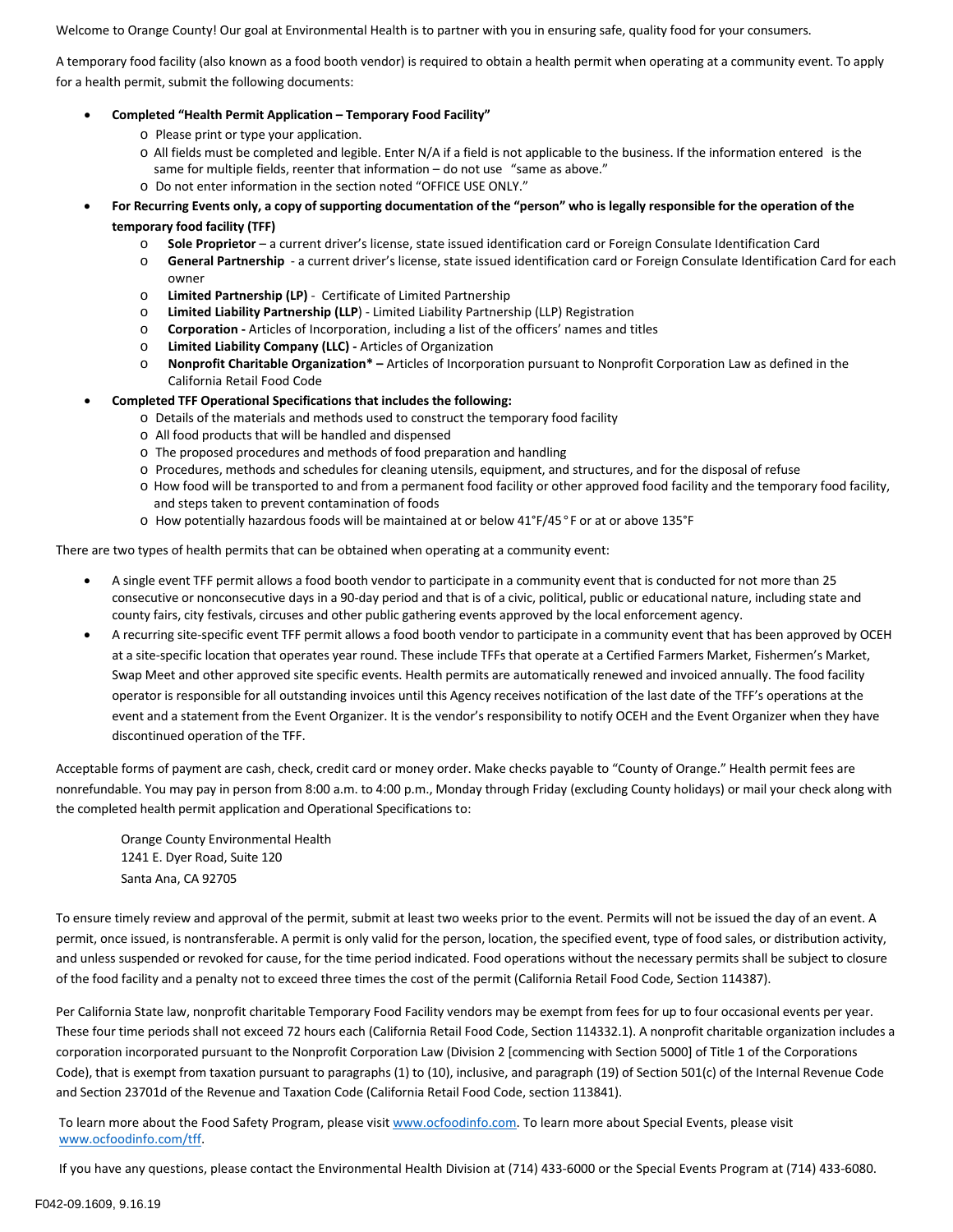Welcome to Orange County! Our goal at Environmental Health is to partner with you in ensuring safe, quality food for your consumers.

A temporary food facility (also known as a food booth vendor) is required to obtain a health permit when operating at a community event. To apply for a health permit, submit the following documents:

## • **Completed "Health Permit Application – Temporary Food Facility"**

- o Please print or type your application.
- o All fields must be completed and legible. Enter N/A if a field is not applicable to the business. If the information entered is the same for multiple fields, reenter that information – do not use "same as above."
- o Do not enter information in the section noted "OFFICE USE ONLY."
- **For Recurring Events only, a copy of supporting documentation of the "person" who is legally responsible for the operation of the temporary food facility (TFF)**
	- o **Sole Proprietor** a current driver's license, state issued identification card or Foreign Consulate Identification Card
	- o **General Partnership** a current driver's license, state issued identification card or Foreign Consulate Identification Card for each owner
	- o **Limited Partnership (LP)** Certificate of Limited Partnership
	- o **Limited Liability Partnership (LLP**) Limited Liability Partnership (LLP) Registration
	- o **Corporation** Articles of Incorporation, including a list of the officers' names and titles
	- o **Limited Liability Company (LLC)** Articles of Organization
	- o **Nonprofit Charitable Organization\* –** Articles of Incorporation pursuant to Nonprofit Corporation Law as defined in the California Retail Food Code

## • **Completed TFF Operational Specifications that includes the following:**

- o Details of the materials and methods used to construct the temporary food facility
- o All food products that will be handled and dispensed
- o The proposed procedures and methods of food preparation and handling
- o Procedures, methods and schedules for cleaning utensils, equipment, and structures, and for the disposal of refuse
- o How food will be transported to and from a permanent food facility or other approved food facility and the temporary food facility, and steps taken to prevent contamination of foods
- o How potentially hazardous foods will be maintained at or below 41°F/45°F or at or above 135°F

There are two types of health permits that can be obtained when operating at a community event:

- A single event TFF permit allows a food booth vendor to participate in a community event that is conducted for not more than 25 consecutive or nonconsecutive days in a 90-day period and that is of a civic, political, public or educational nature, including state and county fairs, city festivals, circuses and other public gathering events approved by the local enforcement agency.
- A recurring site-specific event TFF permit allows a food booth vendor to participate in a community event that has been approved by OCEH at a site-specific location that operates year round. These include TFFs that operate at a Certified Farmers Market, Fishermen's Market, Swap Meet and other approved site specific events. Health permits are automatically renewed and invoiced annually. The food facility operator is responsible for all outstanding invoices until this Agency receives notification of the last date of the TFF's operations at the event and a statement from the Event Organizer. It is the vendor's responsibility to notify OCEH and the Event Organizer when they have discontinued operation of the TFF.

Acceptable forms of payment are cash, check, credit card or money order. Make checks payable to "County of Orange." Health permit fees are nonrefundable. You may pay in person from 8:00 a.m. to 4:00 p.m., Monday through Friday (excluding County holidays) or mail your check along with the completed health permit application and Operational Specifications to:

Orange County Environmental Health 1241 E. Dyer Road, Suite 120 Santa Ana, CA 92705

To ensure timely review and approval of the permit, submit at least two weeks prior to the event. Permits will not be issued the day of an event. A permit, once issued, is nontransferable. A permit is only valid for the person, location, the specified event, type of food sales, or distribution activity, and unless suspended or revoked for cause, for the time period indicated. Food operations without the necessary permits shall be subject to closure of the food facility and a penalty not to exceed three times the cost of the permit (California Retail Food Code, Section 114387).

Per California State law, nonprofit charitable Temporary Food Facility vendors may be exempt from fees for up to four occasional events per year. These four time periods shall not exceed 72 hours each (California Retail Food Code, Section 114332.1). A nonprofit charitable organization includes a corporation incorporated pursuant to the Nonprofit Corporation Law (Division 2 [commencing with Section 5000] of Title 1 of the Corporations Code), that is exempt from taxation pursuant to paragraphs (1) to (10), inclusive, and paragraph (19) of Section 501(c) of the Internal Revenue Code and Section 23701d of the Revenue and Taxation Code (California Retail Food Code, section 113841).

To learn more about the Food Safety Program, please visi[t www.ocfoodinfo.com.](http://www.ocfoodinfo.com/) To learn more about Special Events, please visit [www.ocfoodinfo.com/tff.](http://www.ocfoodinfo.com/tff) 

If you have any questions, please contact the Environmental Health Division at (714) 433-6000 or the Special Events Program at (714) 433-6080.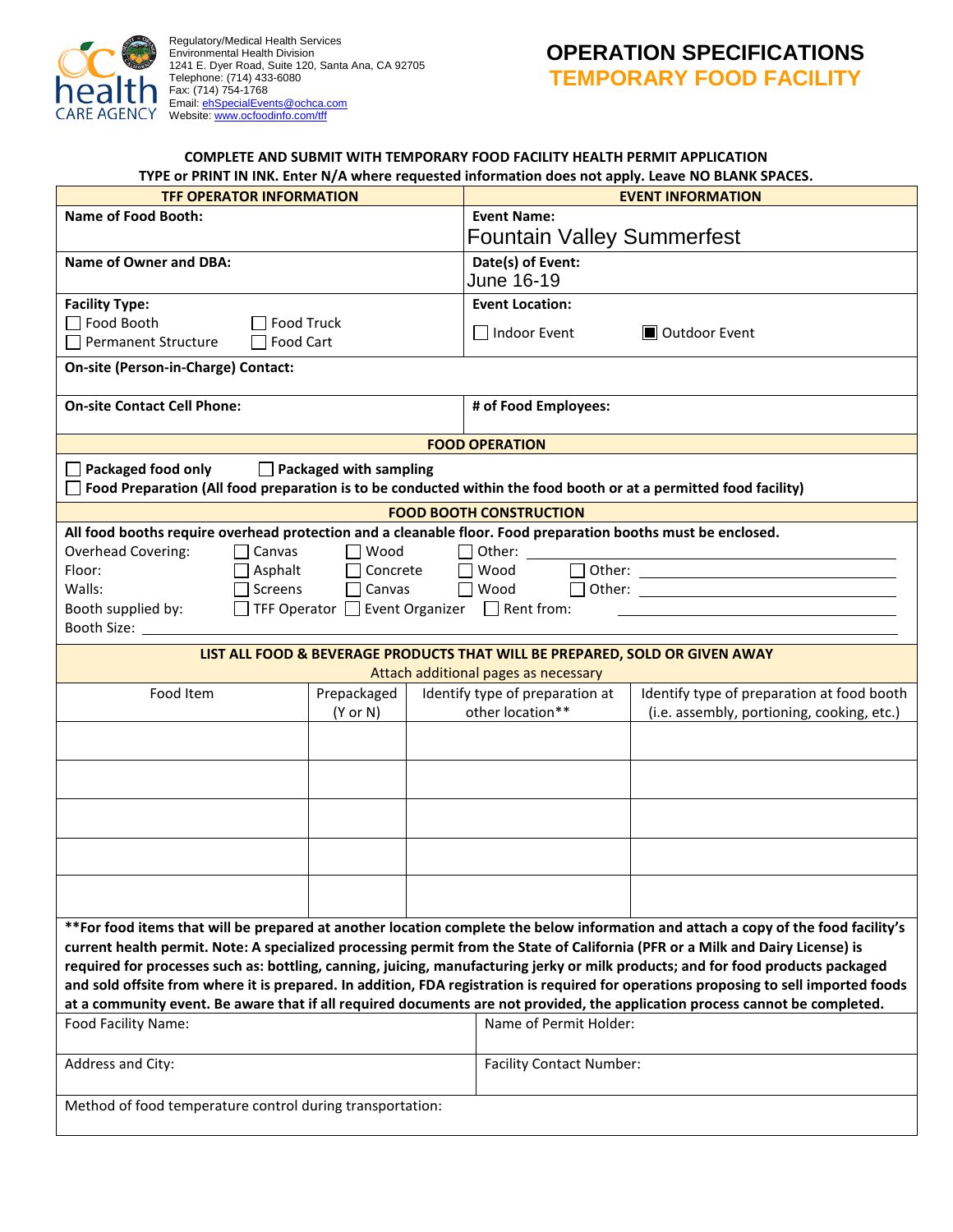

Regulatory/Medical Health Services Environmental Health Division 1241 E. Dyer Road, Suite 120, Santa Ana, CA 92705 Telephone: (714) 433-6080 Fax: (714) 754-1768 Email: **ehSpecialEvents@ochca.com** Website: <u>www.ocfoodinfo.com/tff</u>

## **OPERATION SPECIFICATIONS TEMPORARY FOOD FACILITY**

|                                                                                                                                                                                                                                                                      | TYPE or PRINT IN INK. Enter N/A where requested information does not apply. Leave NO BLANK SPACES. |                                                                                                                                                                                                                                |  |  |
|----------------------------------------------------------------------------------------------------------------------------------------------------------------------------------------------------------------------------------------------------------------------|----------------------------------------------------------------------------------------------------|--------------------------------------------------------------------------------------------------------------------------------------------------------------------------------------------------------------------------------|--|--|
| <b>TFF OPERATOR INFORMATION</b>                                                                                                                                                                                                                                      |                                                                                                    | <b>EVENT INFORMATION</b>                                                                                                                                                                                                       |  |  |
| <b>Name of Food Booth:</b>                                                                                                                                                                                                                                           | <b>Event Name:</b>                                                                                 |                                                                                                                                                                                                                                |  |  |
|                                                                                                                                                                                                                                                                      | <b>Fountain Valley Summerfest</b>                                                                  |                                                                                                                                                                                                                                |  |  |
| Name of Owner and DBA:                                                                                                                                                                                                                                               | Date(s) of Event:<br>June 16-19                                                                    |                                                                                                                                                                                                                                |  |  |
| <b>Facility Type:</b>                                                                                                                                                                                                                                                | <b>Event Location:</b>                                                                             |                                                                                                                                                                                                                                |  |  |
| Food Booth<br><b>Food Truck</b><br>Food Cart<br><b>Permanent Structure</b>                                                                                                                                                                                           | $\Box$ Indoor Event<br><b>■</b> Outdoor Event                                                      |                                                                                                                                                                                                                                |  |  |
| On-site (Person-in-Charge) Contact:                                                                                                                                                                                                                                  |                                                                                                    |                                                                                                                                                                                                                                |  |  |
| <b>On-site Contact Cell Phone:</b>                                                                                                                                                                                                                                   | # of Food Employees:                                                                               |                                                                                                                                                                                                                                |  |  |
|                                                                                                                                                                                                                                                                      | <b>FOOD OPERATION</b>                                                                              |                                                                                                                                                                                                                                |  |  |
| Packaged food only<br>Packaged with sampling<br>Food Preparation (All food preparation is to be conducted within the food booth or at a permitted food facility)                                                                                                     |                                                                                                    |                                                                                                                                                                                                                                |  |  |
|                                                                                                                                                                                                                                                                      | <b>FOOD BOOTH CONSTRUCTION</b>                                                                     |                                                                                                                                                                                                                                |  |  |
| All food booths require overhead protection and a cleanable floor. Food preparation booths must be enclosed.                                                                                                                                                         |                                                                                                    |                                                                                                                                                                                                                                |  |  |
| Overhead Covering:<br>Canvas<br>Wood                                                                                                                                                                                                                                 | Other:                                                                                             |                                                                                                                                                                                                                                |  |  |
| Floor:<br>Asphalt<br>Concrete                                                                                                                                                                                                                                        | Wood<br>$\mathbf{L}$                                                                               | Other: when the contract of the contract of the contract of the contract of the contract of the contract of the contract of the contract of the contract of the contract of the contract of the contract of the contract of th |  |  |
| Screens<br>Walls:<br>$\Box$ Canvas                                                                                                                                                                                                                                   | Wood<br>$\perp$                                                                                    | Other: and the contract of the contract of the contract of the contract of the contract of the contract of the                                                                                                                 |  |  |
| TFF Operator $\Box$ Event Organizer $\Box$ Rent from:<br>Booth supplied by:                                                                                                                                                                                          |                                                                                                    |                                                                                                                                                                                                                                |  |  |
| Booth Size:                                                                                                                                                                                                                                                          |                                                                                                    |                                                                                                                                                                                                                                |  |  |
| LIST ALL FOOD & BEVERAGE PRODUCTS THAT WILL BE PREPARED, SOLD OR GIVEN AWAY                                                                                                                                                                                          | Attach additional pages as necessary                                                               |                                                                                                                                                                                                                                |  |  |
| Food Item<br>Prepackaged                                                                                                                                                                                                                                             | Identify type of preparation at                                                                    | Identify type of preparation at food booth                                                                                                                                                                                     |  |  |
| $(Y \text{ or } N)$                                                                                                                                                                                                                                                  | other location**                                                                                   | (i.e. assembly, portioning, cooking, etc.)                                                                                                                                                                                     |  |  |
|                                                                                                                                                                                                                                                                      |                                                                                                    |                                                                                                                                                                                                                                |  |  |
|                                                                                                                                                                                                                                                                      |                                                                                                    |                                                                                                                                                                                                                                |  |  |
|                                                                                                                                                                                                                                                                      |                                                                                                    |                                                                                                                                                                                                                                |  |  |
|                                                                                                                                                                                                                                                                      |                                                                                                    |                                                                                                                                                                                                                                |  |  |
|                                                                                                                                                                                                                                                                      |                                                                                                    |                                                                                                                                                                                                                                |  |  |
|                                                                                                                                                                                                                                                                      |                                                                                                    |                                                                                                                                                                                                                                |  |  |
|                                                                                                                                                                                                                                                                      |                                                                                                    |                                                                                                                                                                                                                                |  |  |
|                                                                                                                                                                                                                                                                      |                                                                                                    |                                                                                                                                                                                                                                |  |  |
|                                                                                                                                                                                                                                                                      |                                                                                                    |                                                                                                                                                                                                                                |  |  |
|                                                                                                                                                                                                                                                                      |                                                                                                    |                                                                                                                                                                                                                                |  |  |
| **For food items that will be prepared at another location complete the below information and attach a copy of the food facility's<br>current health permit. Note: A specialized processing permit from the State of California (PFR or a Milk and Dairy License) is |                                                                                                    |                                                                                                                                                                                                                                |  |  |
| required for processes such as: bottling, canning, juicing, manufacturing jerky or milk products; and for food products packaged                                                                                                                                     |                                                                                                    |                                                                                                                                                                                                                                |  |  |
| and sold offsite from where it is prepared. In addition, FDA registration is required for operations proposing to sell imported foods                                                                                                                                |                                                                                                    |                                                                                                                                                                                                                                |  |  |
| at a community event. Be aware that if all required documents are not provided, the application process cannot be completed.                                                                                                                                         |                                                                                                    |                                                                                                                                                                                                                                |  |  |
| Food Facility Name:                                                                                                                                                                                                                                                  | Name of Permit Holder:                                                                             |                                                                                                                                                                                                                                |  |  |
| Address and City:                                                                                                                                                                                                                                                    | <b>Facility Contact Number:</b>                                                                    |                                                                                                                                                                                                                                |  |  |